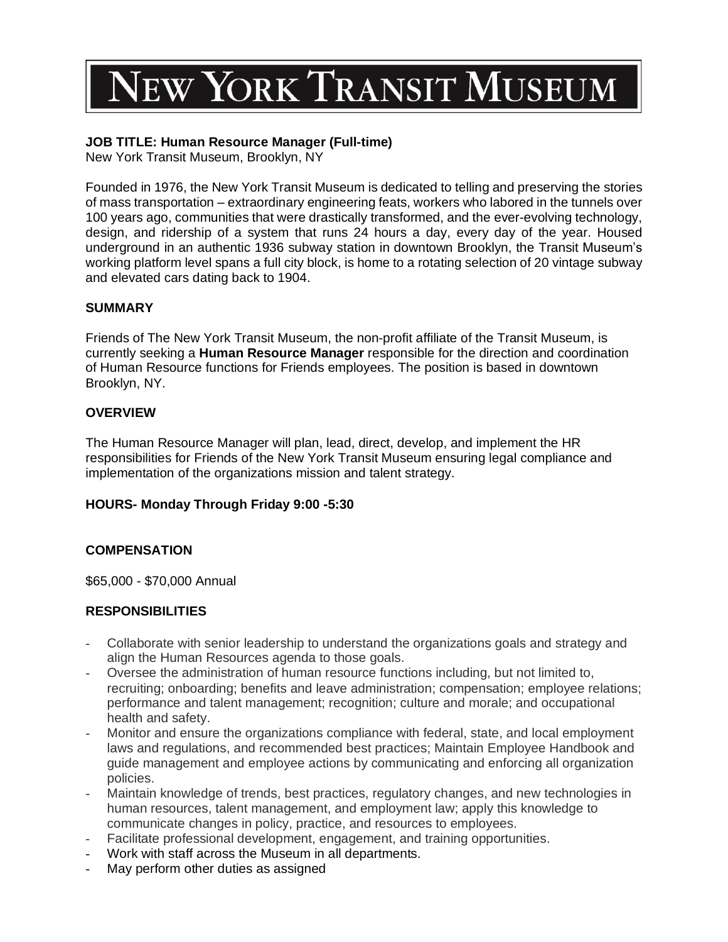# **JEW YORK TRANSIT MUSEUM**

# **JOB TITLE: Human Resource Manager (Full-time)**

New York Transit Museum, Brooklyn, NY

Founded in 1976, the New York Transit Museum is dedicated to telling and preserving the stories of mass transportation – extraordinary engineering feats, workers who labored in the tunnels over 100 years ago, communities that were drastically transformed, and the ever-evolving technology, design, and ridership of a system that runs 24 hours a day, every day of the year. Housed underground in an authentic 1936 subway station in downtown Brooklyn, the Transit Museum's working platform level spans a full city block, is home to a rotating selection of 20 vintage subway and elevated cars dating back to 1904.

### **SUMMARY**

Friends of The New York Transit Museum, the non-profit affiliate of the Transit Museum, is currently seeking a **Human Resource Manager** responsible for the direction and coordination of Human Resource functions for Friends employees. The position is based in downtown Brooklyn, NY.

### **OVERVIEW**

The Human Resource Manager will plan, lead, direct, develop, and implement the HR responsibilities for Friends of the New York Transit Museum ensuring legal compliance and implementation of the organizations mission and talent strategy.

## **HOURS- Monday Through Friday 9:00 -5:30**

## **COMPENSATION**

\$65,000 - \$70,000 Annual

#### **RESPONSIBILITIES**

- Collaborate with senior leadership to understand the organizations goals and strategy and align the Human Resources agenda to those goals.
- Oversee the administration of human resource functions including, but not limited to, recruiting; onboarding; benefits and leave administration; compensation; employee relations; performance and talent management; recognition; culture and morale; and occupational health and safety.
- Monitor and ensure the organizations compliance with federal, state, and local employment laws and regulations, and recommended best practices; Maintain Employee Handbook and guide management and employee actions by communicating and enforcing all organization policies.
- Maintain knowledge of trends, best practices, regulatory changes, and new technologies in human resources, talent management, and employment law; apply this knowledge to communicate changes in policy, practice, and resources to employees.
- Facilitate professional development, engagement, and training opportunities.
- Work with staff across the Museum in all departments.
- May perform other duties as assigned